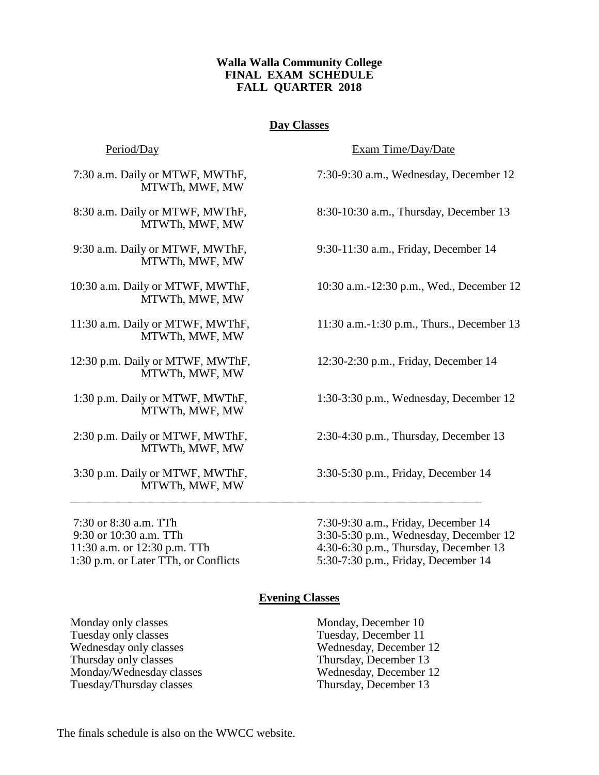## **Walla Walla Community College FINAL EXAM SCHEDULE FALL QUARTER 2018**

# **Day Classes**

MTWTh, MWF, MW

MTWTh, MWF, MW

MTWTh, MWF, MW

MTWTh, MWF, MW

MTWTh, MWF, MW

MTWTh, MWF, MW

MTWTh, MWF, MW

MTWTh, MWF, MW

MTWTh, MWF, MW

Period/Day Exam Time/Day/Date

7:30 a.m. Daily or MTWF, MWThF, 7:30-9:30 a.m., Wednesday, December 12

8:30 a.m. Daily or MTWF, MWThF, 8:30-10:30 a.m., Thursday, December 13

9:30 a.m. Daily or MTWF, MWThF, 9:30-11:30 a.m., Friday, December 14

10:30 a.m. Daily or MTWF, MWThF, 10:30 a.m.-12:30 p.m., Wed., December 12

11:30 a.m. Daily or MTWF, MWThF, 11:30 a.m.-1:30 p.m., Thurs., December 13

12:30 p.m. Daily or MTWF, MWThF, 12:30-2:30 p.m., Friday, December 14

1:30 p.m. Daily or MTWF, MWThF, 1:30-3:30 p.m., Wednesday, December 12

2:30 p.m. Daily or MTWF, MWThF, 2:30-4:30 p.m., Thursday, December 13

3:30 p.m. Daily or MTWF, MWThF, 3:30-5:30 p.m., Friday, December 14

7:30 or 8:30 a.m. TTh 7:30-9:30 a.m., Friday, December 14 9:30 or 10:30 a.m. TTh 3:30-5:30 p.m., Wednesday, December 12 11:30 a.m. or 12:30 p.m. TTh 4:30-6:30 p.m., Thursday, December 13 1:30 p.m. or Later TTh, or Conflicts 5:30-7:30 p.m., Friday, December 14

### **Evening Classes**

\_\_\_\_\_\_\_\_\_\_\_\_\_\_\_\_\_\_\_\_\_\_\_\_\_\_\_\_\_\_\_\_\_\_\_\_\_\_\_\_\_\_\_\_\_\_\_\_\_\_\_\_\_\_\_\_\_\_\_\_\_\_\_\_\_\_\_\_\_\_

Monday only classes Monday, December 10 Tuesday only classes Tuesday, December 11 Wednesday only classes Wednesday, December 12 Thursday only classes Thursday, December 13 Monday/Wednesday classes Wednesday, December 12 Tuesday/Thursday classes Thursday, December 13

The finals schedule is also on the WWCC website.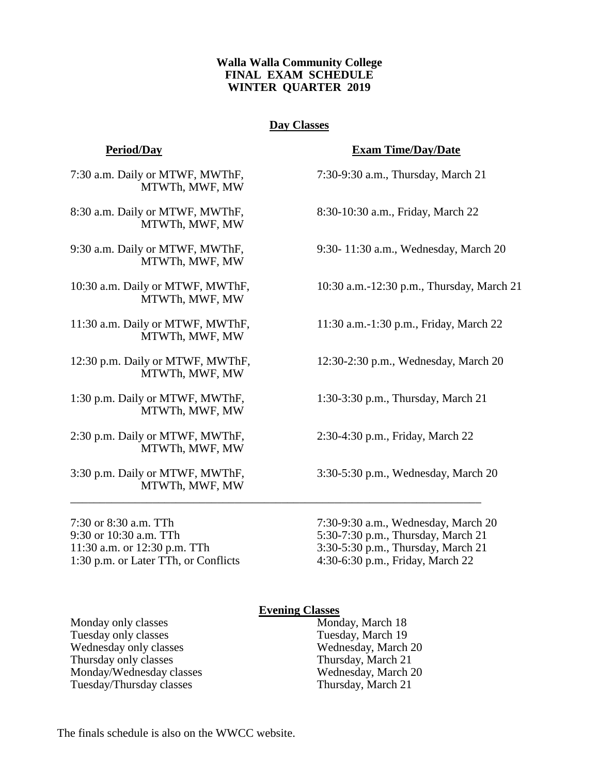# **Walla Walla Community College FINAL EXAM SCHEDULE WINTER QUARTER 2019**

# **Day Classes**

7:30 a.m. Daily or MTWF, MWThF, 7:30-9:30 a.m., Thursday, March 21 MTWTh, MWF, MW

8:30 a.m. Daily or MTWF, MWThF, 8:30-10:30 a.m., Friday, March 22 MTWTh, MWF, MW

MTWTh, MWF, MW

MTWTh, MWF, MW

MTWTh, MWF, MW

MTWTh, MWF, MW

1:30 p.m. Daily or MTWF, MWThF, 1:30-3:30 p.m., Thursday, March 21 MTWTh, MWF, MW

2:30 p.m. Daily or MTWF, MWThF, 2:30-4:30 p.m., Friday, March 22 MTWTh, MWF, MW

MTWTh, MWF, MW

1:30 p.m. or Later TTh, or Conflicts 4:30-6:30 p.m., Friday, March 22

### **Period/Day Exam Time/Day/Date**

9:30 a.m. Daily or MTWF, MWThF, 9:30- 11:30 a.m., Wednesday, March 20

10:30 a.m. Daily or MTWF, MWThF, 10:30 a.m.-12:30 p.m., Thursday, March 21

11:30 a.m. Daily or MTWF, MWThF, 11:30 a.m.-1:30 p.m., Friday, March 22

12:30 p.m. Daily or MTWF, MWThF, 12:30-2:30 p.m., Wednesday, March 20

3:30 p.m. Daily or MTWF, MWThF, 3:30-5:30 p.m., Wednesday, March 20

7:30 or 8:30 a.m. TTh 7:30-9:30 a.m., Wednesday, March 20 9:30 or 10:30 a.m. TTh 5:30-7:30 p.m., Thursday, March 21 11:30 a.m. or 12:30 p.m. TTh 3:30-5:30 p.m., Thursday, March 21

### **Evening Classes**

\_\_\_\_\_\_\_\_\_\_\_\_\_\_\_\_\_\_\_\_\_\_\_\_\_\_\_\_\_\_\_\_\_\_\_\_\_\_\_\_\_\_\_\_\_\_\_\_\_\_\_\_\_\_\_\_\_\_\_\_\_\_\_\_\_\_\_\_\_\_

Monday only classes Monday, March 18 Tuesday only classes Tuesday, March 19 Wednesday only classes Wednesday, March 20 Thursday only classes<br>
Mondav/Wednesday classes<br>
Thursday, March 20<br>
Wednesday, March 20 Monday/Wednesday classes Tuesday/Thursday classes Thursday, March 21

The finals schedule is also on the WWCC website.